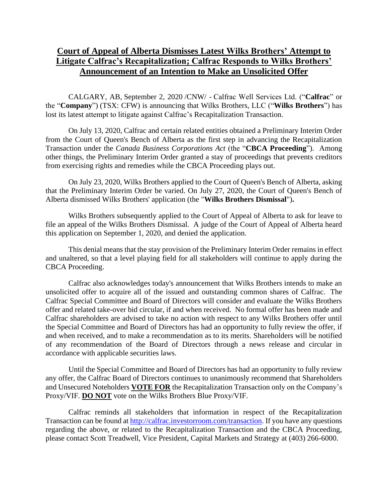## **Court of Appeal of Alberta Dismisses Latest Wilks Brothers' Attempt to Litigate Calfrac's Recapitalization; Calfrac Responds to Wilks Brothers' Announcement of an Intention to Make an Unsolicited Offer**

CALGARY, AB, September 2, 2020 /CNW/ - Calfrac Well Services Ltd. ("**Calfrac**" or the "**Company**") (TSX: CFW) is announcing that Wilks Brothers, LLC ("**Wilks Brothers**") has lost its latest attempt to litigate against Calfrac's Recapitalization Transaction.

On July 13, 2020, Calfrac and certain related entities obtained a Preliminary Interim Order from the Court of Queen's Bench of Alberta as the first step in advancing the Recapitalization Transaction under the *Canada Business Corporations Act* (the "**CBCA Proceeding**"). Among other things, the Preliminary Interim Order granted a stay of proceedings that prevents creditors from exercising rights and remedies while the CBCA Proceeding plays out.

On July 23, 2020, Wilks Brothers applied to the Court of Queen's Bench of Alberta, asking that the Preliminary Interim Order be varied. On July 27, 2020, the Court of Queen's Bench of Alberta dismissed Wilks Brothers' application (the "**Wilks Brothers Dismissal**")**.**

Wilks Brothers subsequently applied to the Court of Appeal of Alberta to ask for leave to file an appeal of the Wilks Brothers Dismissal. A judge of the Court of Appeal of Alberta heard this application on September 1, 2020, and denied the application.

This denial means that the stay provision of the Preliminary Interim Order remains in effect and unaltered, so that a level playing field for all stakeholders will continue to apply during the CBCA Proceeding.

Calfrac also acknowledges today's announcement that Wilks Brothers intends to make an unsolicited offer to acquire all of the issued and outstanding common shares of Calfrac. The Calfrac Special Committee and Board of Directors will consider and evaluate the Wilks Brothers offer and related take-over bid circular, if and when received. No formal offer has been made and Calfrac shareholders are advised to take no action with respect to any Wilks Brothers offer until the Special Committee and Board of Directors has had an opportunity to fully review the offer, if and when received, and to make a recommendation as to its merits. Shareholders will be notified of any recommendation of the Board of Directors through a news release and circular in accordance with applicable securities laws.

Until the Special Committee and Board of Directors has had an opportunity to fully review any offer, the Calfrac Board of Directors continues to unanimously recommend that Shareholders and Unsecured Noteholders **VOTE FOR** the Recapitalization Transaction only on the Company's Proxy/VIF. **DO NOT** vote on the Wilks Brothers Blue Proxy/VIF.

Calfrac reminds all stakeholders that information in respect of the Recapitalization Transaction can be found a[t http://calfrac.investorroom.com/transaction.](http://calfrac.investorroom.com/transaction) If you have any questions regarding the above, or related to the Recapitalization Transaction and the CBCA Proceeding, please contact Scott Treadwell, Vice President, Capital Markets and Strategy at (403) 266-6000.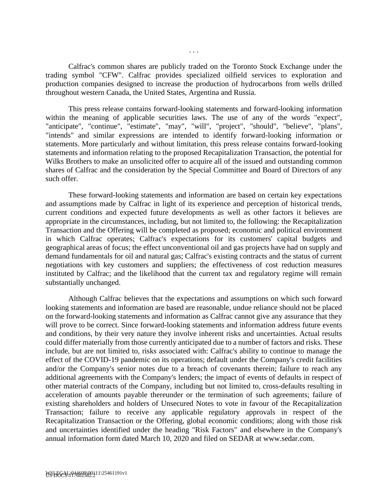Calfrac's common shares are publicly traded on the Toronto Stock Exchange under the trading symbol "CFW". Calfrac provides specialized oilfield services to exploration and production companies designed to increase the production of hydrocarbons from wells drilled throughout western Canada, the United States, Argentina and Russia.

This press release contains forward-looking statements and forward-looking information within the meaning of applicable securities laws. The use of any of the words "expect", "anticipate", "continue", "estimate", "may", "will", "project", "should", "believe", "plans", "intends" and similar expressions are intended to identify forward-looking information or statements. More particularly and without limitation, this press release contains forward-looking statements and information relating to the proposed Recapitalization Transaction, the potential for Wilks Brothers to make an unsolicited offer to acquire all of the issued and outstanding common shares of Calfrac and the consideration by the Special Committee and Board of Directors of any such offer.

These forward-looking statements and information are based on certain key expectations and assumptions made by Calfrac in light of its experience and perception of historical trends, current conditions and expected future developments as well as other factors it believes are appropriate in the circumstances, including, but not limited to, the following: the Recapitalization Transaction and the Offering will be completed as proposed; economic and political environment in which Calfrac operates; Calfrac's expectations for its customers' capital budgets and geographical areas of focus; the effect unconventional oil and gas projects have had on supply and demand fundamentals for oil and natural gas; Calfrac's existing contracts and the status of current negotiations with key customers and suppliers; the effectiveness of cost reduction measures instituted by Calfrac; and the likelihood that the current tax and regulatory regime will remain substantially unchanged.

Although Calfrac believes that the expectations and assumptions on which such forward looking statements and information are based are reasonable, undue reliance should not be placed on the forward-looking statements and information as Calfrac cannot give any assurance that they will prove to be correct. Since forward-looking statements and information address future events and conditions, by their very nature they involve inherent risks and uncertainties. Actual results could differ materially from those currently anticipated due to a number of factors and risks. These include, but are not limited to, risks associated with: Calfrac's ability to continue to manage the effect of the COVID-19 pandemic on its operations; default under the Company's credit facilities and/or the Company's senior notes due to a breach of covenants therein; failure to reach any additional agreements with the Company's lenders; the impact of events of defaults in respect of other material contracts of the Company, including but not limited to, cross-defaults resulting in acceleration of amounts payable thereunder or the termination of such agreements; failure of existing shareholders and holders of Unsecured Notes to vote in favour of the Recapitalization Transaction; failure to receive any applicable regulatory approvals in respect of the Recapitalization Transaction or the Offering, global economic conditions; along with those risk and uncertainties identified under the heading "Risk Factors" and elsewhere in the Company's annual information form dated March 10, 2020 and filed on SEDAR at www.sedar.com.